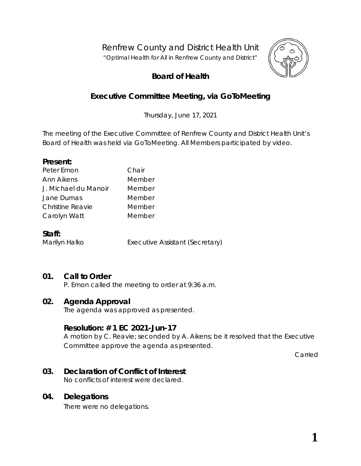Renfrew County and District Health Unit

*"Optimal Health for All in Renfrew County and District"*



# **Board of Health**

# **Executive Committee Meeting, via** *GoToMeeting*

Thursday, June 17, 2021

The meeting of the Executive Committee of Renfrew County and District Health Unit's Board of Health was held via *GoToMeeting*. All Members participated by video.

### **Present:**

| Peter Emon           | Chair  |
|----------------------|--------|
| Ann Aikens           | Member |
| J. Michael du Manoir | Member |
| Jane Dumas           | Member |
| Christine Reavie     | Member |
| Carolyn Watt         | Member |
|                      |        |

#### **Staff:**

Marilyn Halko Executive Assistant (Secretary)

## **01. Call to Order**

P. Emon called the meeting to order at 9:36 a.m.

### **02. Agenda Approval**

The agenda was approved as presented.

### **Resolution: # 1 EC 2021-Jun-17**

A motion by C. Reavie; seconded by A. Aikens; be it resolved that the Executive Committee approve the agenda as presented.

Carried

# **03. Declaration of Conflict of Interest**

No conflicts of interest were declared.

### **04. Delegations**

There were no delegations.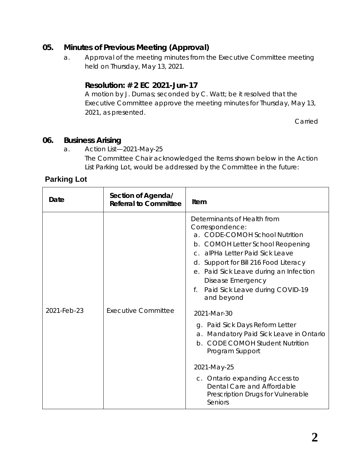## **05. Minutes of Previous Meeting (Approval)**

a. Approval of the meeting minutes from the Executive Committee meeting held on Thursday, May 13, 2021.

# **Resolution: # 2 EC 2021-Jun-17**

A motion by J. Dumas; seconded by C. Watt; be it resolved that the Executive Committee approve the meeting minutes for Thursday, May 13, 2021, as presented.

Carried

### **06. Business Arising**

a. Action List—2021-May-25 The Committee Chair acknowledged the Items shown below in the Action List Parking Lot, would be addressed by the Committee in the future:

# **Parking Lot**

| Date        | Section of Agenda/<br><b>Referral to Committee</b> | <b>Item</b>                                                                                                                                                                                                                                                                                                                                                                                                                                                                                                                                                                                                 |
|-------------|----------------------------------------------------|-------------------------------------------------------------------------------------------------------------------------------------------------------------------------------------------------------------------------------------------------------------------------------------------------------------------------------------------------------------------------------------------------------------------------------------------------------------------------------------------------------------------------------------------------------------------------------------------------------------|
| 2021-Feb-23 | <b>Executive Committee</b>                         | Determinants of Health from<br>Correspondence:<br>a. CODE-COMOH School Nutrition<br>b. COMOH Letter School Reopening<br>c. alPHa Letter Paid Sick Leave<br>d. Support for Bill 216 Food Literacy<br>e. Paid Sick Leave during an Infection<br>Disease Emergency<br>Paid Sick Leave during COVID-19<br>f.<br>and beyond<br>2021-Mar-30<br>g. Paid Sick Days Reform Letter<br>Mandatory Paid Sick Leave in Ontario<br>a.<br>b. CODE COMOH Student Nutrition<br>Program Support<br>2021-May-25<br>c. Ontario expanding Access to<br>Dental Care and Affordable<br>Prescription Drugs for Vulnerable<br>Seniors |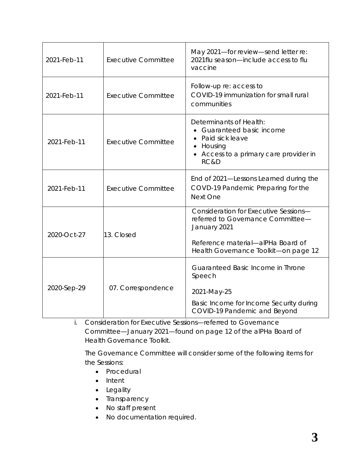| 2021-Feb-11 | <b>Executive Committee</b> | May 2021-for review-send letter re:<br>2021 flu season—include access to flu<br>vaccine                                                                                 |
|-------------|----------------------------|-------------------------------------------------------------------------------------------------------------------------------------------------------------------------|
| 2021-Feb-11 | <b>Executive Committee</b> | Follow-up re: access to<br>COVID-19 immunization for small rural<br>communities                                                                                         |
| 2021-Feb-11 | <b>Executive Committee</b> | Determinants of Health:<br>• Guaranteed basic income<br>Paid sick leave<br>Housing<br>Access to a primary care provider in<br>RC&D                                      |
| 2021-Feb-11 | <b>Executive Committee</b> | End of 2021-Lessons Learned during the<br>COVD-19 Pandemic Preparing for the<br>Next One                                                                                |
| 2020-Oct-27 | 13. Closed                 | Consideration for Executive Sessions-<br>referred to Governance Committee-<br>January 2021<br>Reference material-alPHa Board of<br>Health Governance Toolkit-on page 12 |
| 2020-Sep-29 | 07. Correspondence         | Guaranteed Basic Income in Throne<br>Speech<br>2021-May-25<br>Basic Income for Income Security during<br>COVID-19 Pandemic and Beyond                                   |

i. Consideration for Executive Sessions—referred to Governance Committee—January 2021—found on page 12 of the *[alPHa](https://cdn.ymaws.com/alphaweb.site-ym.com/resource/resmgr/boh_file/alpha_boh_governance_toolkit.pdf) [Board of](https://cdn.ymaws.com/alphaweb.site-ym.com/resource/resmgr/boh_file/alpha_boh_governance_toolkit.pdf) [Health Governance](https://cdn.ymaws.com/alphaweb.site-ym.com/resource/resmgr/boh_file/alpha_boh_governance_toolkit.pdf) [Toolkit](https://cdn.ymaws.com/alphaweb.site-ym.com/resource/resmgr/boh_file/alpha_boh_governance_toolkit.pdf)*.

The Governance Committee will consider some of the following items for the *Sessions*:

- Procedural
- Intent
- Legality
- Transparency
- No staff present
- No documentation required.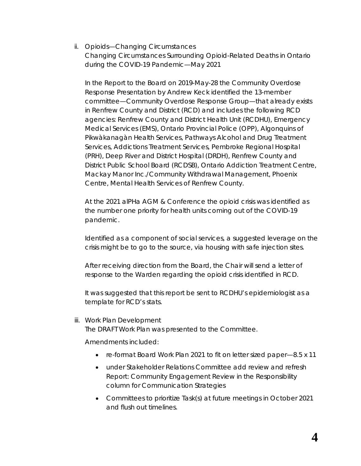ii. Opioids—Changing Circumstances [Changing Circumstances Surrounding Opioid-Related Deaths in Ontario](http://portal.rcdhu.com/board/wp-content/uploads/2021/06/06.-a.-ii.-Opioids-Changing-Circumstances.pdf)  [during the COVID-19 Pandemic—May 2021](http://portal.rcdhu.com/board/wp-content/uploads/2021/06/06.-a.-ii.-Opioids-Changing-Circumstances.pdf)

In the Report to the Board on 2019-May-28 the [Community Overdose](http://portal.rcdhu.com/board/wp-content/uploads/2021/06/Community-Overdose-Response-Presentation-May-28-2019.pdf)  [Response Presentation](http://portal.rcdhu.com/board/wp-content/uploads/2021/06/Community-Overdose-Response-Presentation-May-28-2019.pdf) by Andrew Keck identified the 13-member committee—Community Overdose Response Group—that already exists in Renfrew County and District (RCD) and includes the following RCD agencies: Renfrew County and District Health Unit (RCDHU), Emergency Medical Services (EMS), Ontario Provincial Police (OPP), Algonquins of Pikwàkanagàn Health Services, Pathways Alcohol and Drug Treatment Services, Addictions Treatment Services, Pembroke Regional Hospital (PRH), Deep River and District Hospital (DRDH), Renfrew County and District Public School Board (RCDSB), Ontario Addiction Treatment Centre, Mackay Manor Inc./Community Withdrawal Management, Phoenix Centre, Mental Health Services of Renfrew County.

At the 2021 alPHa AGM & Conference the opioid crisis was identified as the number one priority for health units coming out of the COVID-19 pandemic.

Identified as a component of social services, a suggested leverage on the crisis might be to go to the source, via housing with safe injection sites.

After receiving direction from the Board, the Chair will send a letter of response to the Warden regarding the opioid crisis identified in RCD.

It was suggested that this report be sent to RCDHU's epidemiologist as a template for RCD's stats.

iii. Work Plan Development

The DRAFT *[Work Plan](http://portal.rcdhu.com/board/wp-content/uploads/2021/06/06.a.-iii.-DRAFT-Board-Work-Plan-2021-by-Committee.pdf)* was presented to the Committee.

Amendments included:

- re-format *Board Work Plan 2021* to fit on letter sized paper—8.5 x 11
- under Stakeholder Relations Committee add review and refresh *[Report: Community Engagement Review](http://portal.rcdhu.com/board/wp-content/uploads/2021/06/Report-Community-Engagement-Review-October-2018.pdf)* in the *Responsibility* column for Communication Strategies
- Committees to prioritize *Task*(s) at future meetings in October 2021 and flush out timelines.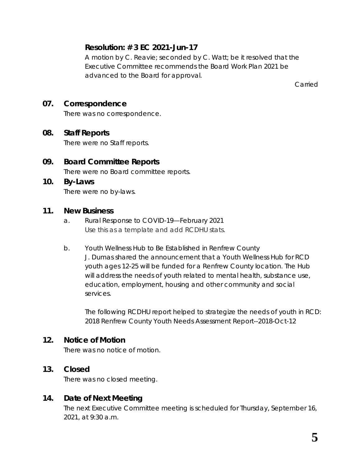# **Resolution: # 3 EC 2021-Jun-17**

A motion by C. Reavie; seconded by C. Watt; be it resolved that the Executive Committee recommends the *Board Work Plan 2021* be advanced to the Board for approval.

Carried

## **07. Correspondence**

There was no correspondence.

### **08. Staff Reports**

There were no Staff reports.

**09. Board Committee Reports**

There were no Board committee reports.

**10. By-Laws** There were no by-laws.

### **11. New Business**

- a. [Rural Response to COVID-19—February 2021](http://portal.rcdhu.com/board/wp-content/uploads/2021/06/Rural-Response-to-COVID-19.pdf) Use this as a template and add RCDHU stats.
- b. Youth Wellness Hub to Be Established in Renfrew County J. Dumas shared the announcement that a Youth Wellness Hub for RCD youth ages 12-25 will be funded for a Renfrew County location. The Hub will address the needs of youth related to mental health, substance use, education, employment, housing and other community and social services.

The following RCDHU report helped to strategize the needs of youth in RCD: [2018 Renfrew County Youth Needs Assessment Report--2018-Oct-12](http://portal.rcdhu.com/board/wp-content/uploads/2018/10/01.-d.-ii-Full-Report-2018-Renfrew-County-Youth-Needs-Assessment-Report.pdf)

### **12. Notice of Motion**

There was no notice of motion.

### **13. Closed**

There was no closed meeting.

### **14. Date of Next Meeting**

The next Executive Committee meeting is scheduled for Thursday, September 16, 2021, at 9:30 a.m.